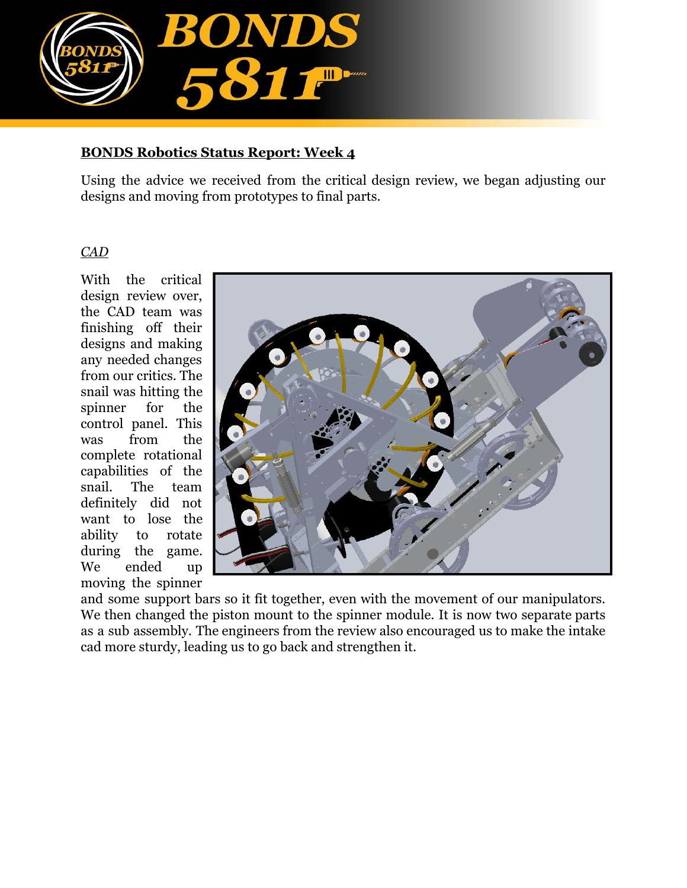

## **BONDS Robotics Status Report: Week 4**

Using the advice we received from the critical design review, we began adjusting our designs and moving from prototypes to final parts.

## *CAD*

With the critical design review over, the CAD team was finishing off their designs and making any needed changes from our critics. The snail was hitting the spinner for the control panel. This was from the complete rotational capabilities of the snail. The team definitely did not want to lose the ability to rotate during the game. We ended up moving the spinner



and some support bars so it fit together, even with the movement of our manipulators. We then changed the piston mount to the spinner module. It is now two separate parts as a sub assembly. The engineers from the review also encouraged us to make the intake cad more sturdy, leading us to go back and strengthen it.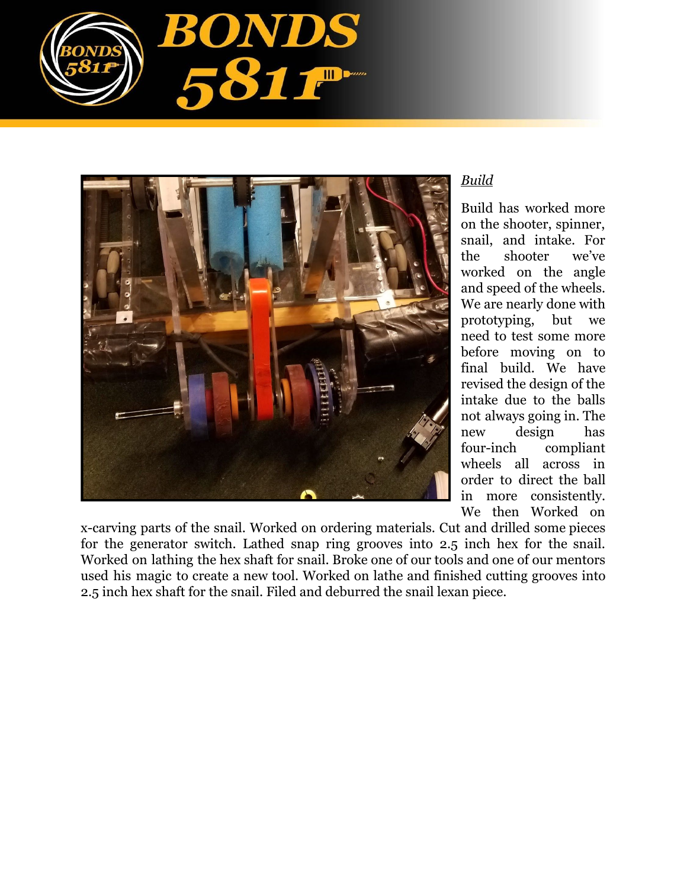



## *Build*

Build has worked more on the shooter, spinner, snail, and intake. For the shooter we've worked on the angle and speed of the wheels. We are nearly done with prototyping, but we need to test some more before moving on to final build. We have revised the design of the intake due to the balls not always going in. The new design has four-inch compliant wheels all across in order to direct the ball in more consistently. We then Worked on

x-carving parts of the snail. Worked on ordering materials. Cut and drilled some pieces for the generator switch. Lathed snap ring grooves into 2.5 inch hex for the snail. Worked on lathing the hex shaft for snail. Broke one of our tools and one of our mentors used his magic to create a new tool. Worked on lathe and finished cutting grooves into 2.5 inch hex shaft for the snail. Filed and deburred the snail lexan piece.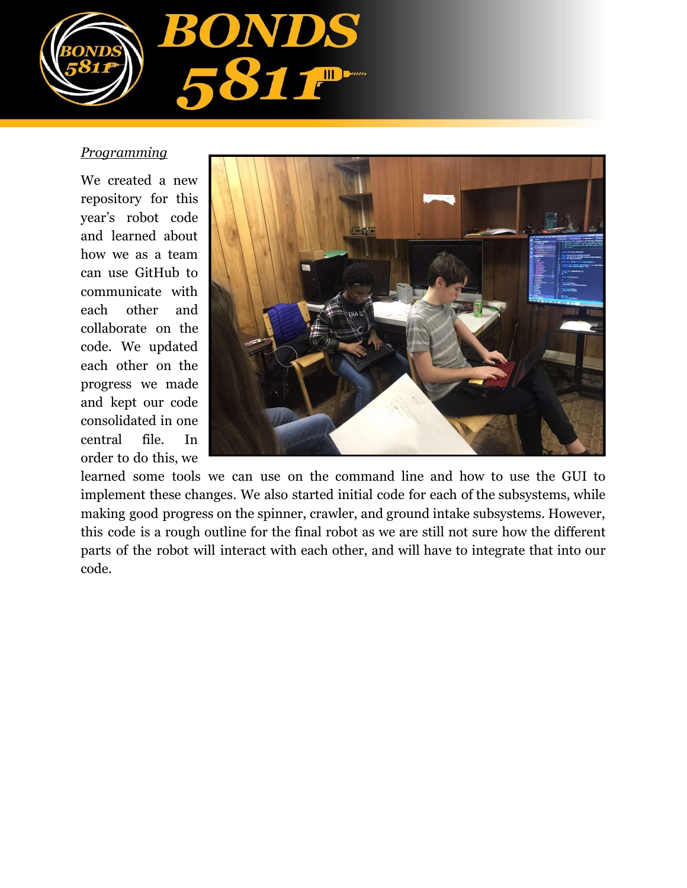

## *Programming*

We created a new repository for this year's robot code and learned about how we as a team can use GitHub to communicate with each other and collaborate on the code. We updated each other on the progress we made and kept our code consolidated in one central file. In order to do this, we



learned some tools we can use on the command line and how to use the GUI to implement these changes. We also started initial code for each of the subsystems, while making good progress on the spinner, crawler, and ground intake subsystems. However, this code is a rough outline for the final robot as we are still not sure how the different parts of the robot will interact with each other, and will have to integrate that into our code.